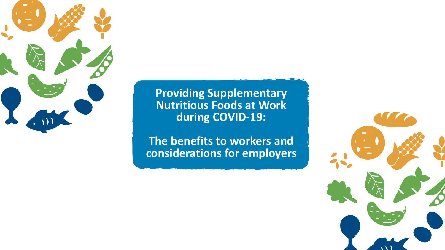

**Providing Supplementary Nutritious Foods at Work during COVID-19:**

**The benefits to workers and considerations for employers**

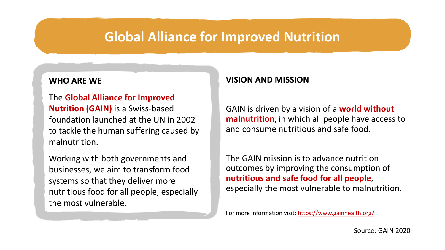### **Global Alliance for Improved Nutrition**

#### **WHO ARE WE**

The **Global Alliance for Improved Nutrition (GAIN)** is a Swiss-based foundation launched at the UN in 2002 to tackle the human suffering caused by malnutrition.

Working with both governments and businesses, we aim to transform food systems so that they deliver more nutritious food for all people, especially the most vulnerable.

#### **VISION AND MISSION**

GAIN is driven by a vision of a **world without malnutrition**, in which all people have access to and consume nutritious and safe food.

The GAIN mission is to advance nutrition outcomes by improving the consumption of **nutritious and safe food for all people**, especially the most vulnerable to malnutrition.

For more information visit: <https://www.gainhealth.org/>

Source: [GAIN 2020](https://www.gainhealth.org/about)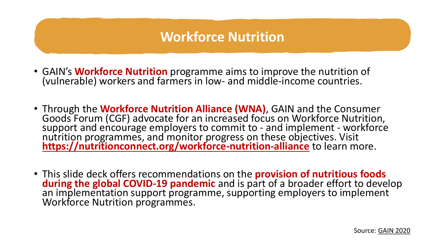### **Workforce Nutrition**

- GAIN's **Workforce Nutrition** programme aims to improve the nutrition of (vulnerable) workers and farmers in low- and middle-income countries.
- Through the **Workforce Nutrition Alliance (WNA)**, GAIN and the Consumer Goods Forum (CGF) advocate for an increased focus on Workforce Nutrition, support and encourage employers to commit to - and implement - workforce nutrition programmes, and monitor progress on these objectives. Visit **<https://nutritionconnect.org/workforce-nutrition-alliance>** to learn more.
- This slide deck offers recommendations on the **provision of nutritious foods during the global COVID-19 pandemic** and is part of a broader effort to develop an implementation support programme, supporting employers to implement Workforce Nutrition programmes.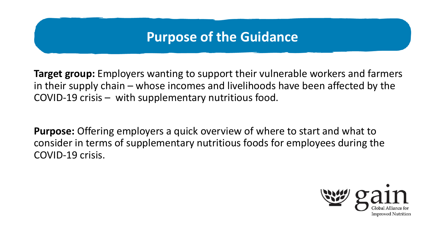### **Purpose of the Guidance**

**Target group:** Employers wanting to support their vulnerable workers and farmers in their supply chain – whose incomes and livelihoods have been affected by the COVID-19 crisis – with supplementary nutritious food.

**Purpose:** Offering employers a quick overview of where to start and what to consider in terms of supplementary nutritious foods for employees during the COVID-19 crisis.

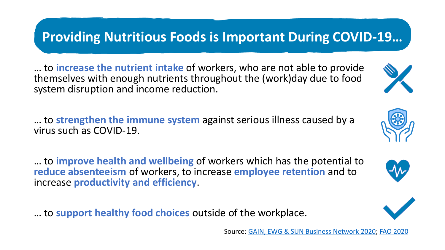# **Providing Nutritious Foods is Important During COVID-19…**

… to **increase the nutrient intake** of workers, who are not able to provide themselves with enough nutrients throughout the (work)day due to food system disruption and income reduction.

… to **strengthen the immune system** against serious illness caused by a virus such as COVID-19.

… to **improve health and wellbeing** of workers which has the potential to **reduce absenteeism** of workers, to increase **employee retention** and to increase **productivity and efficiency**.

… to **support healthy food choices** outside of the workplace.





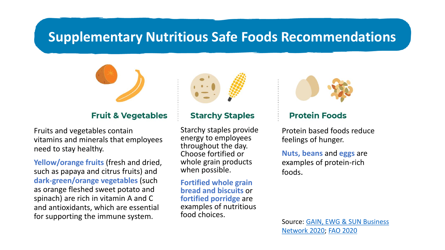### **Supplementary Nutritious Safe Foods Recommendations**



#### **Fruit & Vegetables**

Fruits and vegetables contain vitamins and minerals that employees need to stay healthy.

**Yellow/orange fruits** (fresh and dried, such as papaya and citrus fruits) and **dark-green/orange vegetables** (such as orange fleshed sweet potato and spinach) are rich in vitamin A and C and antioxidants, which are essential for supporting the immune system.



#### **Starchy Staples**

Starchy staples provide energy to employees throughout the day. Choose fortified or whole grain products when possible.

**Fortified whole grain bread and biscuits** or **fortified porridge** are examples of nutritious food choices.



#### **Protein Foods**

Protein based foods reduce feelings of hunger.

**Nuts, beans** and **eggs** are examples of protein-rich foods.

[Source: GAIN, EWG & SUN Business](https://nutritionconnect.org/sites/default/files/2020-03/Healthy%20Meal%20and%20Snack%20Recommendations.pdf) Network 2020; [FAO 2020](http://www.fao.org/americas/noticias/ver/en/c/1267852/)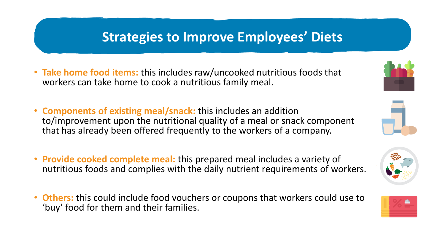# **Strategies to Improve Employees' Diets**

- **Take home food items:** this includes raw/uncooked nutritious foods that workers can take home to cook a nutritious family meal.
- **Components of existing meal/snack:** this includes an addition to/improvement upon the nutritional quality of a meal or snack component that has already been offered frequently to the workers of a company.
- **Provide cooked complete meal:** this prepared meal includes a variety of nutritious foods and complies with the daily nutrient requirements of workers.
- **Others:** this could include food vouchers or coupons that workers could use to 'buy' food for them and their families.





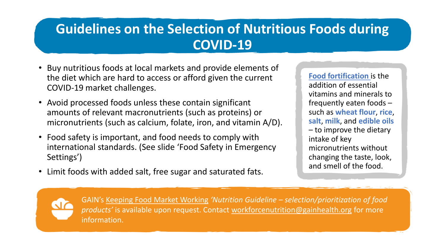# **Guidelines on the Selection of Nutritious Foods during COVID-19**

- Buy nutritious foods at local markets and provide elements of the diet which are hard to access or afford given the current COVID-19 market challenges.
- Avoid processed foods unless these contain significant amounts of relevant macronutrients (such as proteins) or micronutrients (such as calcium, folate, iron, and vitamin A/D).
- Food safety is important, and food needs to comply with international standards. (See slide 'Food Safety in Emergency Settings')
- Limit foods with added salt, free sugar and saturated fats.

**[Food fortification](https://ffrc.fssai.gov.in/)** is the addition of essential vitamins and minerals to frequently eaten foods – such as **wheat flour**, **rice**, **salt**, **milk**, and **edible oils**  – to improve the dietary intake of key micronutrients without changing the taste, look, and smell of the food.



GAIN's [Keeping Food Market Working](https://www.gainhealth.org/impact/our-response-covid-19#keeping-food-markets-working-programme) *'Nutrition Guideline – selection/prioritization of food products'* is available upon request. Contact [workforcenutrition@gainhealth.org](mailto:workforcenutrition@gainhealth.org) for more information.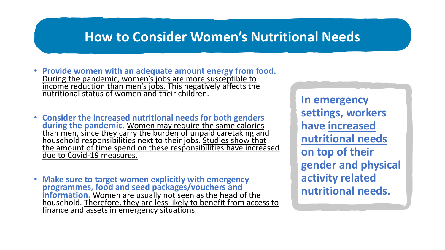### **How to Consider Women's Nutritional Needs**

- **Provide women with an adequate amount energy from food.**  [During the pandemic, women's jobs are more susceptible to](https://www.ncbi.nlm.nih.gov/pmc/articles/PMC7358320/)  income reduction than men's jobs. This negatively affects the nutritional status of women and their children.
- **Consider the increased nutritional needs for both genders during the pandemic.** Women may require the same calories [than men, since they carry the burden of unpaid caretaking an](https://www.ilo.org/wcmsp5/groups/public/---dgreports/---dcomm/---publ/documents/publication/wcms_publ_9221170152_en.pdf)d household responsibilities next to their jobs. Studies show that [the amount of time spend on these responsibilities have increased](https://blogs.imf.org/2020/07/21/the-covid-19-gender-gap/) due to Covid-19 measures.
- **Make sure to target women explicitly with emergency programmes, food and seed packages/vouchers and information.** Women are usually not seen as the head of the household. Therefore, they are less likely to benefit from access to finance and assets in emergency situations.

**In emergency settings, workers have increased [nutritional needs](https://nutritionconnect.org/sites/default/files/2020-03/Healthy%20Meal%20and%20Snack%20Recommendations.pdf)  on top of their gender and physical activity related nutritional needs.**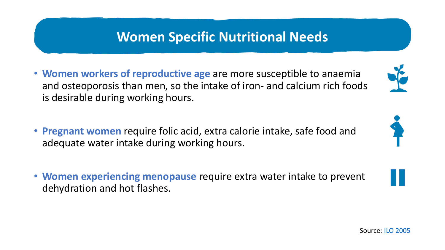## **Women Specific Nutritional Needs**

- **Women workers of reproductive age** are more susceptible to anaemia and osteoporosis than men, so the intake of iron- and calcium rich foods is desirable during working hours.
- **Pregnant women** require folic acid, extra calorie intake, safe food and adequate water intake during working hours.
- **Women experiencing menopause** require extra water intake to prevent dehydration and hot flashes.





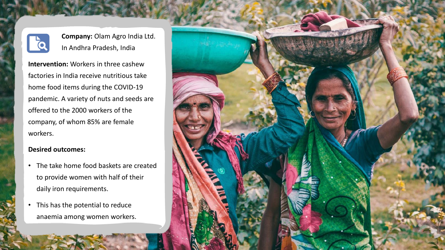

**Company:** Olam Agro India Ltd. In Andhra Pradesh, India

**Intervention:** Workers in three cashew factories in India receive nutritious take home food items during the COVID-19 pandemic. A variety of nuts and seeds are offered to the 2000 workers of the company, of whom 85% are female workers.

#### **Desired outcomes:**

- The take home food baskets are created to provide women with half of their daily iron requirements.
- This has the potential to reduce anaemia among women workers.

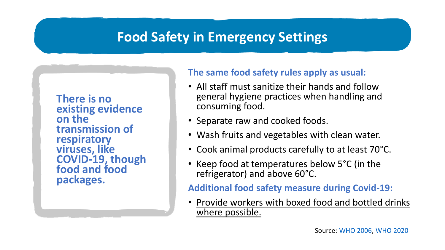### **Food Safety in Emergency Settings**

**There is no existing evidence on the transmission of respiratory viruses, like [COVID-19, though](https://www.who.int/westernpacific/news/q-a-detail/food-safety-and-nutrition)  food and food packages.** 

#### **The same food safety rules apply as usual:**

- All staff must sanitize their hands and follow general hygiene practices when handling and consuming food.
- Separate raw and cooked foods.
- Wash fruits and vegetables with clean water.
- Cook animal products carefully to at least 70°C.
- Keep food at temperatures below 5°C (in the refrigerator) and above 60°C.

**Additional food safety measure during Covid-19:** 

• [Provide workers with boxed food and bottled drinks](https://www.ilo.org/wcmsp5/groups/public/---ed_dialogue/---lab_admin/documents/instructionalmaterial/wcms_753619.pdf)  where possible.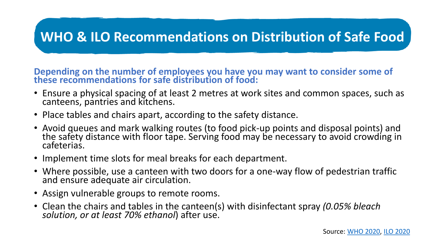# **WHO & ILO Recommendations on Distribution of Safe Food**

**Depending on the number of employees you have you may want to consider some of these recommendations for safe distribution of food:**

- Ensure a physical spacing of at least 2 metres at work sites and common spaces, such as canteens, pantries and kitchens.
- Place tables and chairs apart, according to the safety distance.
- Avoid queues and mark walking routes (to food pick-up points and disposal points) and the safety distance with floor tape. Serving food may be necessary to avoid crowding in cafeterias.
- Implement time slots for meal breaks for each department.
- Where possible, use a canteen with two doors for a one-way flow of pedestrian traffic and ensure adequate air circulation.
- Assign vulnerable groups to remote rooms.
- Clean the chairs and tables in the canteen(s) with disinfectant spray *(0.05% bleach solution, or at least 70% ethanol*) after use.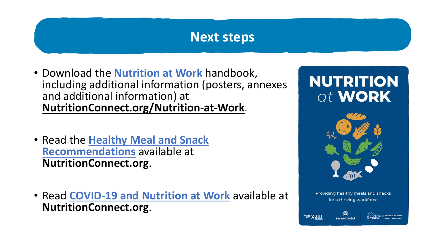### **Next steps**

- Download the **Nutrition at Work** handbook, including additional information (posters, annexes and additional information) at **[NutritionConnect.org/Nutrition-at-Work](https://nutritionconnect.org/index.php/nutrition-at-work)**.
- Read the **[Healthy Meal and Snack](https://nutritionconnect.org/sites/default/files/2020-03/Healthy%20Meal%20and%20Snack%20Recommendations.pdf)  Recommendations** available at **NutritionConnect.org**.
- Read **[COVID-19 and Nutrition at Work](https://nutritionconnect.org/sites/default/files/2020-10/COVID-19%20and%20Nutrition%20at%20Work.pdf)** available at **NutritionConnect.org**.

# **NUTRITION at WORK**



Providing healthy meals and snacks for a thriving workforce